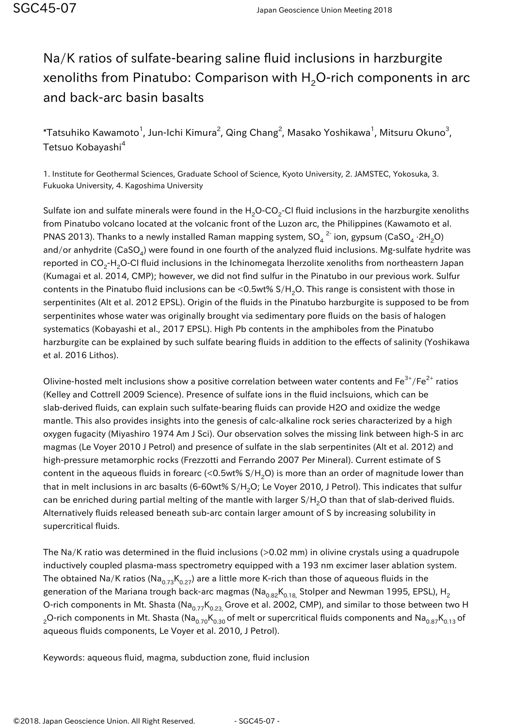## Na/K ratios of sulfate-bearing saline fluid inclusions in harzburgite xenoliths from Pinatubo: Comparison with  $H<sub>2</sub>O$ -rich components in arc and back-arc basin basalts

 $^\ast$ Tatsuhiko Kawamoto $^1$ , Jun-Ichi Kimura $^2$ , Qing Chang $^2$ , Masako Yoshikawa $^1$ , Mitsuru Okuno $^3$ , Tetsuo Kobayashi<sup>4</sup>

1. Institute for Geothermal Sciences, Graduate School of Science, Kyoto University, 2. JAMSTEC, Yokosuka, 3. Fukuoka University, 4. Kagoshima University

Sulfate ion and sulfate minerals were found in the H<sub>2</sub>O-CO<sub>2</sub>-CI fluid inclusions in the harzburgite xenoliths from Pinatubo volcano located at the volcanic front of the Luzon arc, the Philippines (Kawamoto et al. PNAS 2013). Thanks to a newly installed Raman mapping system, SO $_4^{-2}$  ion, gypsum (CaSO $_4$  ·2H $_2$ O) and/or anhydrite (CaSO<sub>4</sub>) were found in one fourth of the analyzed fluid inclusions. Mg-sulfate hydrite was reported in CO<sub>2</sub>-H<sub>2</sub>O-CI fluid inclusions in the Ichinomegata Iherzolite xenoliths from northeastern Japan (Kumagai et al. 2014, CMP); however, we did not find sulfur in the Pinatubo in our previous work. Sulfur contents in the Pinatubo fluid inclusions can be <0.5wt%  $S/H<sub>2</sub>O$ . This range is consistent with those in serpentinites (Alt et al. 2012 EPSL). Origin of the fluids in the Pinatubo harzburgite is supposed to be from serpentinites whose water was originally brought via sedimentary pore fluids on the basis of halogen systematics (Kobayashi et al., 2017 EPSL). High Pb contents in the amphiboles from the Pinatubo harzburgite can be explained by such sulfate bearing fluids in addition to the effects of salinity (Yoshikawa et al. 2016 Lithos).

Olivine-hosted melt inclusions show a positive correlation between water contents and  $Fe^{3+}/Fe^{2+}$  ratios (Kelley and Cottrell 2009 Science). Presence of sulfate ions in the fluid inclsuions, which can be slab-derived fluids, can explain such sulfate-bearing fluids can provide H2O and oxidize the wedge mantle. This also provides insights into the genesis of calc-alkaline rock series characterized by a high oxygen fugacity (Miyashiro 1974 Am J Sci). Our observation solves the missing link between high-S in arc magmas (Le Voyer 2010 J Petrol) and presence of sulfate in the slab serpentinites (Alt et al. 2012) and high-pressure metamorphic rocks (Frezzotti and Ferrando 2007 Per Mineral). Current estimate of S content in the aqueous fluids in forearc (<0.5wt%  $S/H<sub>2</sub>O$ ) is more than an order of magnitude lower than that in melt inclusions in arc basalts (6-60wt% S/H<sub>2</sub>O; Le Voyer 2010, J Petrol). This indicates that sulfur can be enriched during partial melting of the mantle with larger  $S/H<sub>2</sub>O$  than that of slab-derived fluids. Alternatively fluids released beneath sub-arc contain larger amount of S by increasing solubility in supercritical fluids.

The Na/K ratio was determined in the fluid inclusions (>0.02 mm) in olivine crystals using a quadrupole inductively coupled plasma-mass spectrometry equipped with a 193 nm excimer laser ablation system. The obtained Na/K ratios (Na<sub>0.73</sub>K<sub>0.27</sub>) are a little more K-rich than those of aqueous fluids in the generation of the Mariana trough back-arc magmas ( $\textsf{Na}_{0.82}\textsf{K}_{0.18}$  Stolper and Newman 1995, EPSL), H<sub>2</sub> O-rich components in Mt. Shasta (Na<sub>0.77</sub>K<sub>0.23</sub>, Grove et al. 2002, CMP), and similar to those between two H <sub>2</sub>O-rich components in Mt. Shasta (Na<sub>0.70</sub>K<sub>0.30</sub> of melt or supercritical fluids components and Na<sub>0.87</sub>K<sub>0.13</sub> of aqueous fluids components, Le Voyer et al. 2010, J Petrol).

Keywords: aqueous fluid, magma, subduction zone, fluid inclusion